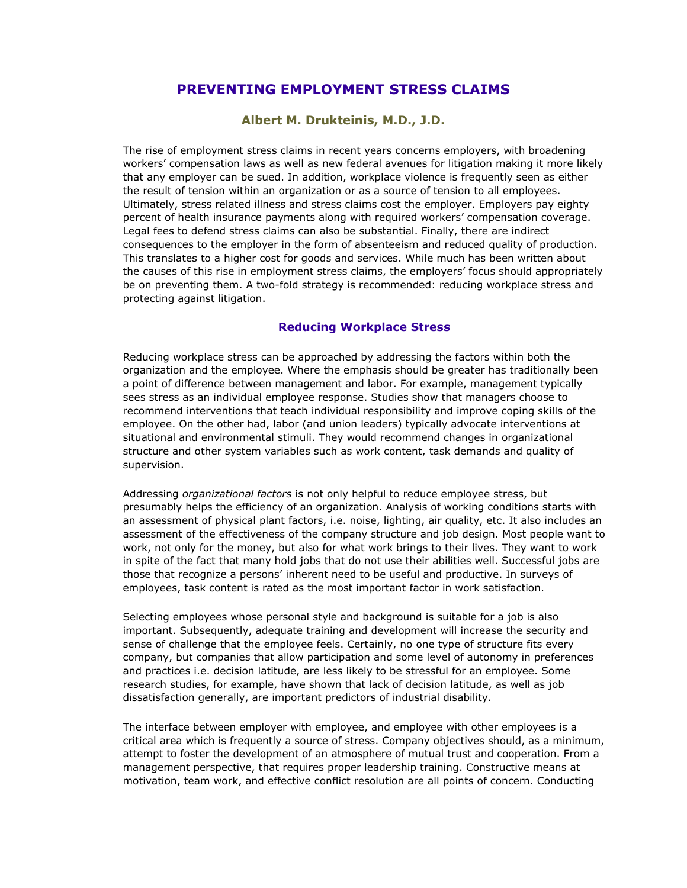## **PREVENTING EMPLOYMENT STRESS CLAIMS**

## **Albert M. Drukteinis, M.D., J.D.**

The rise of employment stress claims in recent years concerns employers, with broadening workers' compensation laws as well as new federal avenues for litigation making it more likely that any employer can be sued. In addition, workplace violence is frequently seen as either the result of tension within an organization or as a source of tension to all employees. Ultimately, stress related illness and stress claims cost the employer. Employers pay eighty percent of health insurance payments along with required workers' compensation coverage. Legal fees to defend stress claims can also be substantial. Finally, there are indirect consequences to the employer in the form of absenteeism and reduced quality of production. This translates to a higher cost for goods and services. While much has been written about the causes of this rise in employment stress claims, the employers' focus should appropriately be on preventing them. A two-fold strategy is recommended: reducing workplace stress and protecting against litigation.

## **Reducing Workplace Stress**

Reducing workplace stress can be approached by addressing the factors within both the organization and the employee. Where the emphasis should be greater has traditionally been a point of difference between management and labor. For example, management typically sees stress as an individual employee response. Studies show that managers choose to recommend interventions that teach individual responsibility and improve coping skills of the employee. On the other had, labor (and union leaders) typically advocate interventions at situational and environmental stimuli. They would recommend changes in organizational structure and other system variables such as work content, task demands and quality of supervision.

Addressing *organizational factors* is not only helpful to reduce employee stress, but presumably helps the efficiency of an organization. Analysis of working conditions starts with an assessment of physical plant factors, i.e. noise, lighting, air quality, etc. It also includes an assessment of the effectiveness of the company structure and job design. Most people want to work, not only for the money, but also for what work brings to their lives. They want to work in spite of the fact that many hold jobs that do not use their abilities well. Successful jobs are those that recognize a persons' inherent need to be useful and productive. In surveys of employees, task content is rated as the most important factor in work satisfaction.

Selecting employees whose personal style and background is suitable for a job is also important. Subsequently, adequate training and development will increase the security and sense of challenge that the employee feels. Certainly, no one type of structure fits every company, but companies that allow participation and some level of autonomy in preferences and practices i.e. decision latitude, are less likely to be stressful for an employee. Some research studies, for example, have shown that lack of decision latitude, as well as job dissatisfaction generally, are important predictors of industrial disability.

The interface between employer with employee, and employee with other employees is a critical area which is frequently a source of stress. Company objectives should, as a minimum, attempt to foster the development of an atmosphere of mutual trust and cooperation. From a management perspective, that requires proper leadership training. Constructive means at motivation, team work, and effective conflict resolution are all points of concern. Conducting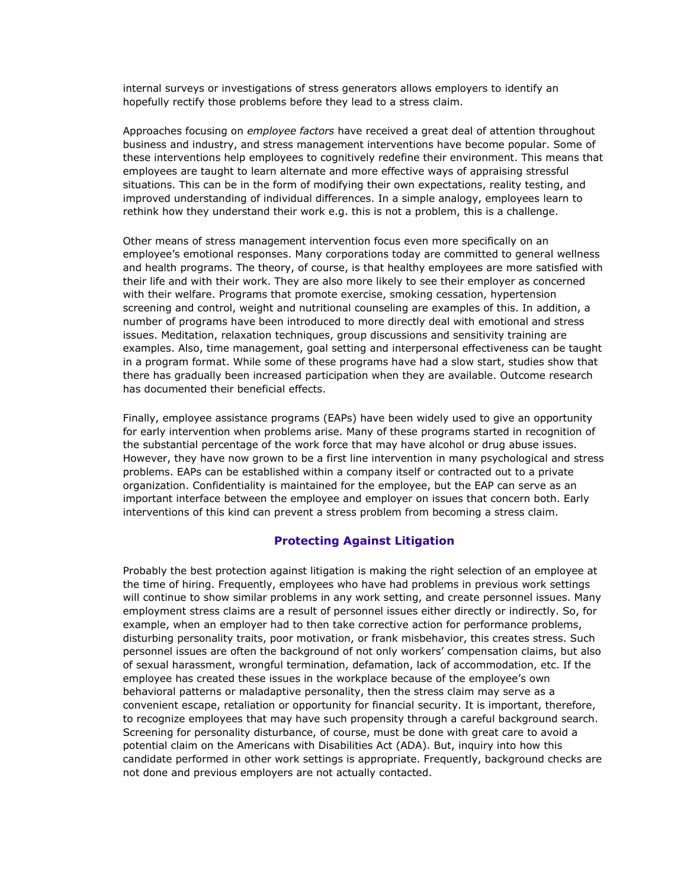internal surveys or investigations of stress generators allows employers to identify an hopefully rectify those problems before they lead to a stress claim.

Approaches focusing on *employee factors* have received a great deal of attention throughout business and industry, and stress management interventions have become popular. Some of these interventions help employees to cognitively redefine their environment. This means that employees are taught to learn alternate and more effective ways of appraising stressful situations. This can be in the form of modifying their own expectations, reality testing, and improved understanding of individual differences. In a simple analogy, employees learn to rethink how they understand their work e.g. this is not a problem, this is a challenge.

Other means of stress management intervention focus even more specifically on an employee's emotional responses. Many corporations today are committed to general wellness and health programs. The theory, of course, is that healthy employees are more satisfied with their life and with their work. They are also more likely to see their employer as concerned with their welfare. Programs that promote exercise, smoking cessation, hypertension screening and control, weight and nutritional counseling are examples of this. In addition, a number of programs have been introduced to more directly deal with emotional and stress issues. Meditation, relaxation techniques, group discussions and sensitivity training are examples. Also, time management, goal setting and interpersonal effectiveness can be taught in a program format. While some of these programs have had a slow start, studies show that there has gradually been increased participation when they are available. Outcome research has documented their beneficial effects.

Finally, employee assistance programs (EAPs) have been widely used to give an opportunity for early intervention when problems arise. Many of these programs started in recognition of the substantial percentage of the work force that may have alcohol or drug abuse issues. However, they have now grown to be a first line intervention in many psychological and stress problems. EAPs can be established within a company itself or contracted out to a private organization. Confidentiality is maintained for the employee, but the EAP can serve as an important interface between the employee and employer on issues that concern both. Early interventions of this kind can prevent a stress problem from becoming a stress claim.

## **Protecting Against Litigation**

Probably the best protection against litigation is making the right selection of an employee at the time of hiring. Frequently, employees who have had problems in previous work settings will continue to show similar problems in any work setting, and create personnel issues. Many employment stress claims are a result of personnel issues either directly or indirectly. So, for example, when an employer had to then take corrective action for performance problems, disturbing personality traits, poor motivation, or frank misbehavior, this creates stress. Such personnel issues are often the background of not only workers' compensation claims, but also of sexual harassment, wrongful termination, defamation, lack of accommodation, etc. If the employee has created these issues in the workplace because of the employee's own behavioral patterns or maladaptive personality, then the stress claim may serve as a convenient escape, retaliation or opportunity for financial security. It is important, therefore, to recognize employees that may have such propensity through a careful background search. Screening for personality disturbance, of course, must be done with great care to avoid a potential claim on the Americans with Disabilities Act (ADA). But, inquiry into how this candidate performed in other work settings is appropriate. Frequently, background checks are not done and previous employers are not actually contacted.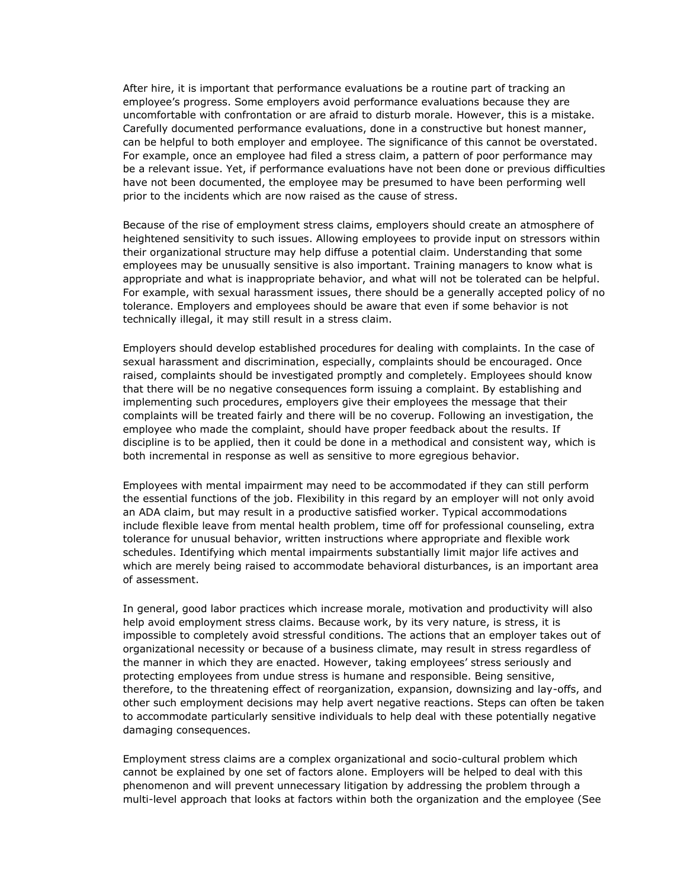After hire, it is important that performance evaluations be a routine part of tracking an employee's progress. Some employers avoid performance evaluations because they are uncomfortable with confrontation or are afraid to disturb morale. However, this is a mistake. Carefully documented performance evaluations, done in a constructive but honest manner, can be helpful to both employer and employee. The significance of this cannot be overstated. For example, once an employee had filed a stress claim, a pattern of poor performance may be a relevant issue. Yet, if performance evaluations have not been done or previous difficulties have not been documented, the employee may be presumed to have been performing well prior to the incidents which are now raised as the cause of stress.

Because of the rise of employment stress claims, employers should create an atmosphere of heightened sensitivity to such issues. Allowing employees to provide input on stressors within their organizational structure may help diffuse a potential claim. Understanding that some employees may be unusually sensitive is also important. Training managers to know what is appropriate and what is inappropriate behavior, and what will not be tolerated can be helpful. For example, with sexual harassment issues, there should be a generally accepted policy of no tolerance. Employers and employees should be aware that even if some behavior is not technically illegal, it may still result in a stress claim.

Employers should develop established procedures for dealing with complaints. In the case of sexual harassment and discrimination, especially, complaints should be encouraged. Once raised, complaints should be investigated promptly and completely. Employees should know that there will be no negative consequences form issuing a complaint. By establishing and implementing such procedures, employers give their employees the message that their complaints will be treated fairly and there will be no coverup. Following an investigation, the employee who made the complaint, should have proper feedback about the results. If discipline is to be applied, then it could be done in a methodical and consistent way, which is both incremental in response as well as sensitive to more egregious behavior.

Employees with mental impairment may need to be accommodated if they can still perform the essential functions of the job. Flexibility in this regard by an employer will not only avoid an ADA claim, but may result in a productive satisfied worker. Typical accommodations include flexible leave from mental health problem, time off for professional counseling, extra tolerance for unusual behavior, written instructions where appropriate and flexible work schedules. Identifying which mental impairments substantially limit major life actives and which are merely being raised to accommodate behavioral disturbances, is an important area of assessment.

In general, good labor practices which increase morale, motivation and productivity will also help avoid employment stress claims. Because work, by its very nature, is stress, it is impossible to completely avoid stressful conditions. The actions that an employer takes out of organizational necessity or because of a business climate, may result in stress regardless of the manner in which they are enacted. However, taking employees' stress seriously and protecting employees from undue stress is humane and responsible. Being sensitive, therefore, to the threatening effect of reorganization, expansion, downsizing and lay-offs, and other such employment decisions may help avert negative reactions. Steps can often be taken to accommodate particularly sensitive individuals to help deal with these potentially negative damaging consequences.

Employment stress claims are a complex organizational and socio-cultural problem which cannot be explained by one set of factors alone. Employers will be helped to deal with this phenomenon and will prevent unnecessary litigation by addressing the problem through a multi-level approach that looks at factors within both the organization and the employee (See